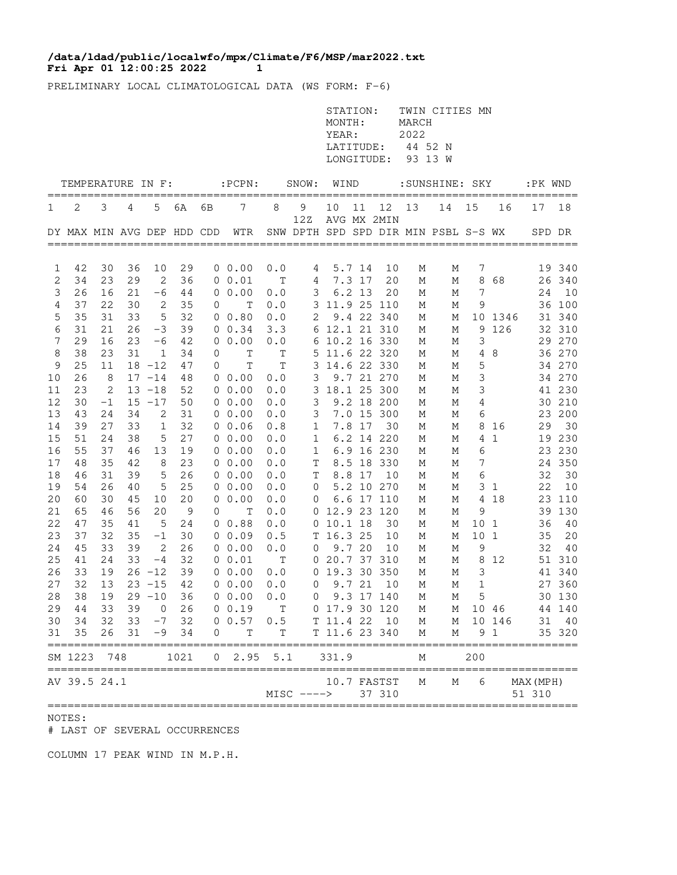## **Fri Apr 01 12:00:25 2022 1 /data/ldad/public/localwfo/mpx/Climate/F6/MSP/mar2022.txt**

PRELIMINARY LOCAL CLIMATOLOGICAL DATA (WS FORM: F-6)

|        |                                    |          |          |                     |          |                   |                                                      |          |                | STATION:<br>MONTH:<br>YEAR:<br>LATITUDE:<br>LONGITUDE: |                  |                       | MARCH<br>2022<br>44 52 N<br>93 13 W | TWIN CITIES MN                       |                 |             |                     |                  |
|--------|------------------------------------|----------|----------|---------------------|----------|-------------------|------------------------------------------------------|----------|----------------|--------------------------------------------------------|------------------|-----------------------|-------------------------------------|--------------------------------------|-----------------|-------------|---------------------|------------------|
|        | TEMPERATURE IN F:                  |          |          |                     |          |                   | $:$ $PCPN:$                                          |          | SNOW:          | WIND                                                   |                  |                       |                                     | :SUNSHINE: SKY                       |                 |             | :PK WND             |                  |
| 1      | 2                                  | 3        | 4        | 5                   | 6A       | ===========<br>6В | 7                                                    | 8        | 9              | 10                                                     | 11               | 12                    | 13                                  | 14                                   | 15              | 16          | 17                  | 18               |
|        |                                    |          |          |                     |          |                   | DY MAX MIN AVG DEP HDD CDD WTR                       |          | 12Z            |                                                        |                  | AVG MX 2MIN           |                                     | SNW DPTH SPD SPD DIR MIN PSBL S-S WX |                 |             |                     | SPD DR           |
|        |                                    |          |          |                     |          |                   |                                                      |          |                |                                                        |                  |                       |                                     |                                      |                 |             |                     |                  |
| 1<br>2 | 42<br>34                           | 30<br>23 | 36<br>29 | 10<br>2             | 29<br>36 |                   | $0\ 0.00$<br>0 0.01                                  | 0.0<br>Т | 4<br>4         |                                                        | 5.7 14<br>7.3 17 | 10<br>20              | М<br>М                              | М<br>М                               | 7               | 868         |                     | 19 340<br>26 340 |
| 3      | 26                                 | 16       | 21       | $-6$                | 44       |                   | $0\;\;0.00$                                          | 0.0      | 3              |                                                        | $6.2$ 13         | 20                    | М                                   | М                                    | 7               |             | 24                  | 10               |
| 4      | 37                                 | 22       | 30       | 2                   | 35       | 0                 | $\mathbf T$                                          | 0.0      |                | 3 11.9 25 110                                          |                  |                       | М                                   | М                                    | 9               |             |                     | 36 100           |
| 5      | 35                                 | 31       | 33       | 5                   | 32       |                   | 0 0.80                                               | 0.0      | 2              |                                                        |                  | 9.4 22 340            | М                                   | М                                    |                 | 10 1346     |                     | 31 340           |
| 6      | 31                                 | 21       | 26       | $-3$                | 39       |                   | $0 \t 0.34$                                          | 3.3      |                | 6 12.1 21 310                                          |                  |                       | М                                   | М                                    |                 | 9 1 2 6     |                     | 32 310           |
| 7      | 29                                 | 16       | 23       | $-6$                | 42       |                   | 0 0.00                                               | 0.0      |                | 6 10.2 16 330                                          |                  |                       | М                                   | М                                    | 3               |             |                     | 29 270           |
| 8      | 38                                 | 23       | 31       | 1                   | 34       | 0                 | $\mathbf T$                                          | Т        |                | 5 11.6 22 320                                          |                  |                       | М                                   | М                                    | 4               | 8           |                     | 36 270           |
| 9      | 25                                 | 11       |          | $18 - 12$           | 47       | 0                 | $\mathbb T$                                          | T        |                | 3 14.6 22 330                                          |                  |                       | М                                   | М                                    | 5               |             |                     | 34 270           |
| 10     | 26                                 | - 8      |          | $17 - 14$           | 48       |                   | $0\;\;0.00$                                          | 0.0      | 3              |                                                        |                  | 9.7 21 270            | М                                   | М                                    | 3               |             |                     | 34 270           |
| 11     | 23                                 | 2        |          | $13 - 18$           | 52       |                   | $0\;\;0.00$                                          | 0.0      |                | 3 18.1 25 300                                          |                  |                       | М                                   | М                                    | 3               |             |                     | 41 230           |
| 12     | 30                                 | $-1$     |          | $15 - 17$           | 50       |                   | $0\;\;0.00$                                          | 0.0      | 3              |                                                        |                  | 9.2 18 200            | М                                   | М                                    | 4               |             |                     | 30 210           |
| 13     | 43                                 | 24       | 34       | 2                   | 31       |                   | 0 0.00                                               | 0.0      | 3              |                                                        |                  | 7.0 15 300            | М                                   | М                                    | 6               |             |                     | 23 200           |
| 14     | 39                                 | 27       | 33       | $\mathbf{1}$        | 32       |                   | $0\;\;0.06$                                          | 0.8      | $\mathbf{1}$   |                                                        | 7.8 17           | 30                    | М                                   | М                                    |                 | 8 16        | 29                  | 30               |
| 15     | 51                                 | 24       | 38       | 5                   | 27       |                   | $0\;\;0.00$                                          | 0.0      | $\mathbf{1}$   |                                                        |                  | 6.2 14 220            | М                                   | М                                    |                 | 4 1         |                     | 19 230           |
| 16     | 55                                 | 37       | 46       | 13                  | 19       |                   | $0\;\;0.00$                                          | 0.0      | $\mathbf{1}$   |                                                        |                  | 6.9 16 230            | М                                   | М                                    | 6               |             |                     | 23 230           |
| 17     | 48                                 | 35       | 42       | 8                   | 23       |                   | $0\;\;0.00$                                          | 0.0      | T              |                                                        |                  | 8.5 18 330            | М                                   | М                                    | 7               |             |                     | 24 350           |
| 18     | 46                                 | 31       | 39       | 5                   | 26       |                   | $0\;\;0.00$                                          | 0.0      | $\mathbf T$    |                                                        | 8.8 17           | 10                    | М                                   | М                                    | 6               |             | 32                  | 30               |
| 19     | 54                                 | 26       | 40       | 5                   | 25       |                   | 0 0.00                                               | 0.0      | 0              |                                                        |                  | 5.2 10 270            | М                                   | М                                    |                 | 31          | 22                  | 10               |
| 20     | 60                                 | 30       | 45       | 10                  | 20       |                   | $0\;\;0.00$                                          | 0.0      | $\overline{0}$ |                                                        |                  | 6.6 17 110            | М                                   | М                                    |                 | 4 18        |                     | 23 110           |
| 21     | 65                                 | 46       | 56       | 20                  | - 9      | 0                 | Т                                                    | 0.0      |                | 0 12.9 23 120                                          |                  |                       | М                                   | М                                    | 9               |             |                     | 39 130           |
| 22     | 47                                 | 35       | 41       | 5                   | 24       |                   | 0 0.88                                               | 0.0      |                | 0 10.1 18                                              |                  | 30                    | М                                   | М                                    | 10 <sub>1</sub> |             |                     | 36 40            |
| 23     | 37                                 | 32       | 35       | -1                  | 30       |                   | 00.09                                                | 0.5      |                | T 16.3 25                                              |                  | 10                    | М                                   | М                                    | 10 <sub>1</sub> |             | 35                  | 20               |
| 24     | 45                                 | 33       | 39       | 2                   | 26       |                   | 0 0.00                                               | 0.0      | 0              | 9.720                                                  |                  | 10                    | М                                   | М                                    | 9               |             | 32                  | 40               |
| 25     | 41<br>33                           | 24<br>19 | 33       | $-4$<br>$26 - 12$   | 32       |                   | 0 0.01                                               | т        |                | 0 20.7 37 310                                          |                  |                       | М                                   | М                                    | 3               | 8 1 2       |                     | 51 310<br>41 340 |
| 26     | 32                                 | 13       |          | $23 - 15$           | 39<br>42 |                   | $0\;\;0.00$                                          | 0.0      |                | 0 19.3 30 350<br>$0$ 9.7 21                            |                  | 10                    | М<br>М                              | М<br>М                               | $1\,$           |             |                     | 27 360           |
| 27     |                                    |          |          |                     |          |                   | 0 0.00<br>28 38 19 29 -10 36 0 0.00 0.0 0 9.3 17 140 | 0.0      |                |                                                        |                  |                       |                                     | M                                    |                 | $5^{\circ}$ |                     | 30 130           |
| 29     | 44                                 | 33       |          | 39 0                | 26       |                   | 0 0.19                                               | T        |                | 0 17.9 30 120                                          |                  |                       | M<br>M                              |                                      |                 | M 10 46     |                     | 44 140           |
| 30     | 34                                 |          |          | $32$ $33$ $-7$ $32$ |          |                   | 0 0.57 0.5                                           |          |                | T 11.4 22 10                                           |                  |                       | $M_{\odot}$                         |                                      |                 | M 10 146    |                     | 31 40            |
| 31     | 35                                 | 26       | 31       |                     | $-9$ 34  | 0                 | T                                                    | Т        |                | T 11.6 23 340                                          |                  |                       | М                                   | М                                    |                 | 9 1         |                     | 35 320           |
|        | SM 1223 748                        |          |          |                     | 1021     |                   | $0 \quad 2.95 \quad 5.1$                             |          |                | 331.9                                                  |                  |                       | М                                   |                                      | 200             |             |                     |                  |
|        | ==================<br>AV 39.5 24.1 |          |          |                     |          |                   |                                                      |          | $MISC$ ---->   |                                                        |                  | 10.7 FASTST<br>37 310 | М                                   | М                                    | 6               |             | MAX (MPH)<br>51 310 |                  |

NOTES:

# LAST OF SEVERAL OCCURRENCES

COLUMN 17 PEAK WIND IN M.P.H.